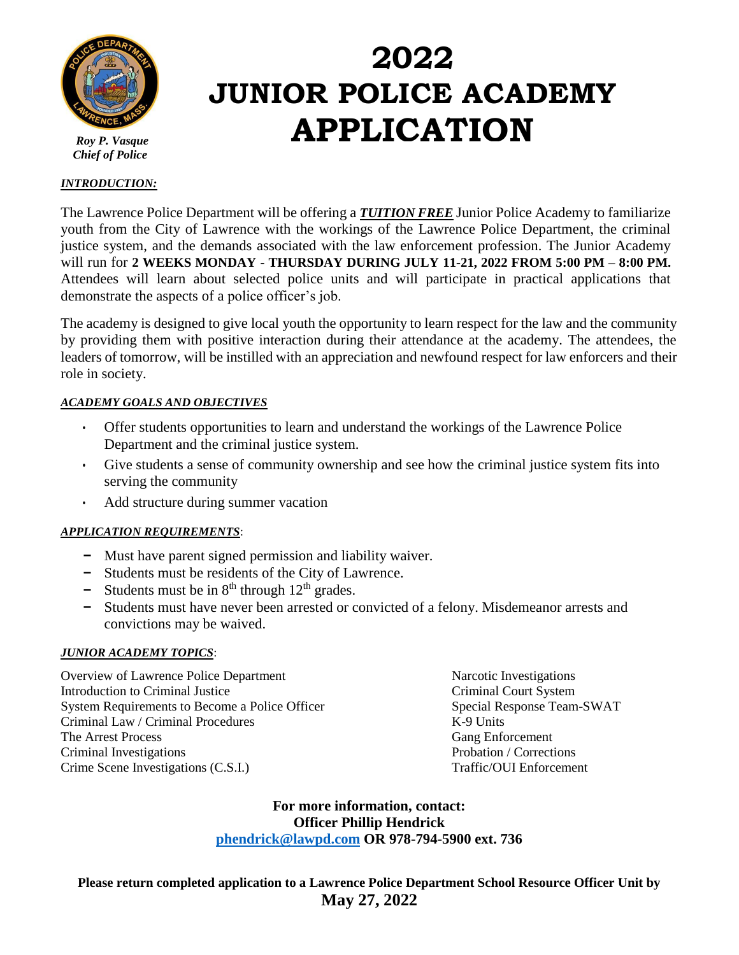

 *Roy P. Vasque Chief of Police* 

# **2022 JUNIOR POLICE ACADEMY APPLICATION**

#### *INTRODUCTION:*

The Lawrence Police Department will be offering a *TUITION FREE* Junior Police Academy to familiarize youth from the City of Lawrence with the workings of the Lawrence Police Department, the criminal justice system, and the demands associated with the law enforcement profession. The Junior Academy will run for **2 WEEKS MONDAY - THURSDAY DURING JULY 11-21, 2022 FROM 5:00 PM – 8:00 PM.** Attendees will learn about selected police units and will participate in practical applications that demonstrate the aspects of a police officer's job.

The academy is designed to give local youth the opportunity to learn respect for the law and the community by providing them with positive interaction during their attendance at the academy. The attendees, the leaders of tomorrow, will be instilled with an appreciation and newfound respect for law enforcers and their role in society.

#### *ACADEMY GOALS AND OBJECTIVES*

- Offer students opportunities to learn and understand the workings of the Lawrence Police Department and the criminal justice system.
- Give students a sense of community ownership and see how the criminal justice system fits into serving the community
- Add structure during summer vacation

#### *APPLICATION REQUIREMENTS*:

- **-** Must have parent signed permission and liability waiver.
- **-** Students must be residents of the City of Lawrence.
- **-** Students must be in  $8<sup>th</sup>$  through 12<sup>th</sup> grades.
- **-** Students must have never been arrested or convicted of a felony. Misdemeanor arrests and convictions may be waived.

#### *JUNIOR ACADEMY TOPICS*:

Overview of Lawrence Police Department Narcotic Investigations Introduction to Criminal Justice Criminal Court System System Requirements to Become a Police Officer Special Response Team-SWAT Criminal Law / Criminal Procedures K-9 Units The Arrest Process Gang Enforcement Criminal Investigations **Probation** Probation / Corrections Crime Scene Investigations (C.S.I.) Traffic/OUI Enforcement

**For more information, contact: Officer Phillip Hendrick [phendrick@lawpd.com](mailto:phendrick@lawpd.com) OR 978-794-5900 ext. 736**

**Please return completed application to a Lawrence Police Department School Resource Officer Unit by May 27, 2022**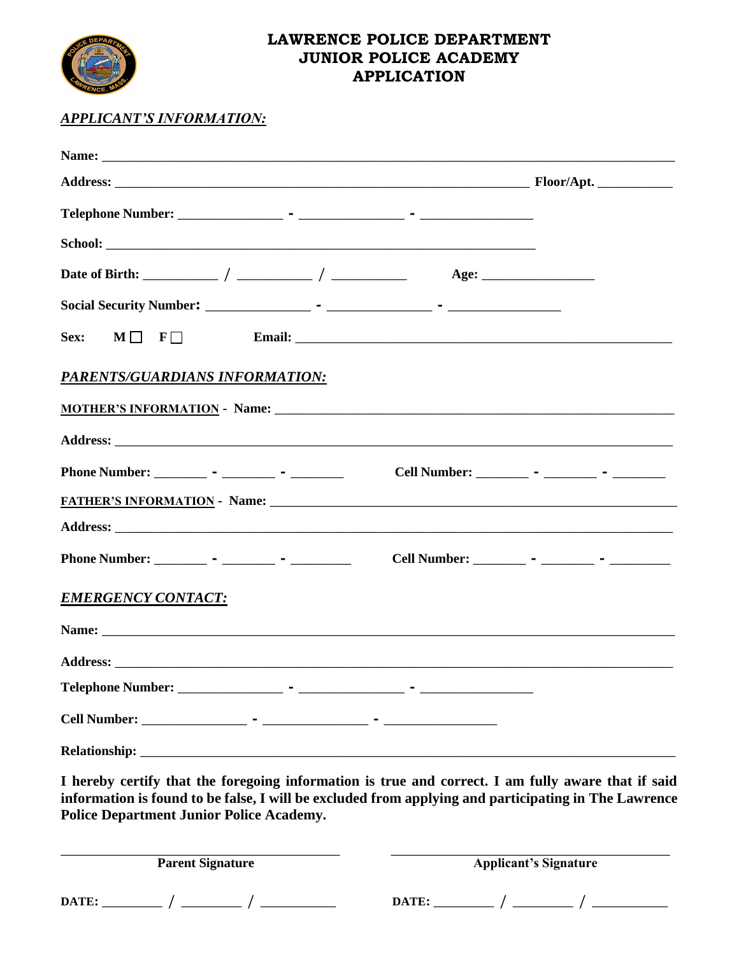

## **LAWRENCE POLICE DEPARTMENT JUNIOR POLICE ACADEMY APPLICATION**

### *APPLICANT'S INFORMATION:*

| Sex:<br>$M \Box$ F $\Box$                                                                                                                                                                                                           | Email: No. 1998. The Commission of the Commission of the Commission of the Commission of the Commission of the Commission of the Commission of the Commission of the Commission of the Commission of the Commission of the Com |
|-------------------------------------------------------------------------------------------------------------------------------------------------------------------------------------------------------------------------------------|--------------------------------------------------------------------------------------------------------------------------------------------------------------------------------------------------------------------------------|
| PARENTS/GUARDIANS INFORMATION:                                                                                                                                                                                                      |                                                                                                                                                                                                                                |
|                                                                                                                                                                                                                                     |                                                                                                                                                                                                                                |
|                                                                                                                                                                                                                                     |                                                                                                                                                                                                                                |
| Phone Number: _________ - ________ - ________                                                                                                                                                                                       | Cell Number: ________ - _______ - ________ -                                                                                                                                                                                   |
|                                                                                                                                                                                                                                     |                                                                                                                                                                                                                                |
|                                                                                                                                                                                                                                     |                                                                                                                                                                                                                                |
| Phone Number: __________ - _________ - ___________                                                                                                                                                                                  | Cell Number: _________ - _______ - ________ -                                                                                                                                                                                  |
| <b>EMERGENCY CONTACT:</b>                                                                                                                                                                                                           |                                                                                                                                                                                                                                |
| Name: Name: Name: Name: Name: Name: Name: Name: Name: Name: Name: Name: Name: Name: Name: Name: Name: Name: Name: Name: Name: Name: Name: Name: Name: Name: Name: Name: Name: Name: Name: Name: Name: Name: Name: Name: Name:       |                                                                                                                                                                                                                                |
|                                                                                                                                                                                                                                     |                                                                                                                                                                                                                                |
|                                                                                                                                                                                                                                     |                                                                                                                                                                                                                                |
|                                                                                                                                                                                                                                     |                                                                                                                                                                                                                                |
| <b>Relationship:</b> Network of the second second second second second second second second second second second second second second second second second second second second second second second second second second second se |                                                                                                                                                                                                                                |
| <b>Police Department Junior Police Academy.</b>                                                                                                                                                                                     | I hereby certify that the foregoing information is true and correct. I am fully aware that if said<br>information is found to be false, I will be excluded from applying and participating in The Lawrence                     |
| <b>Parent Signature</b>                                                                                                                                                                                                             | <b>Applicant's Signature</b>                                                                                                                                                                                                   |
|                                                                                                                                                                                                                                     |                                                                                                                                                                                                                                |